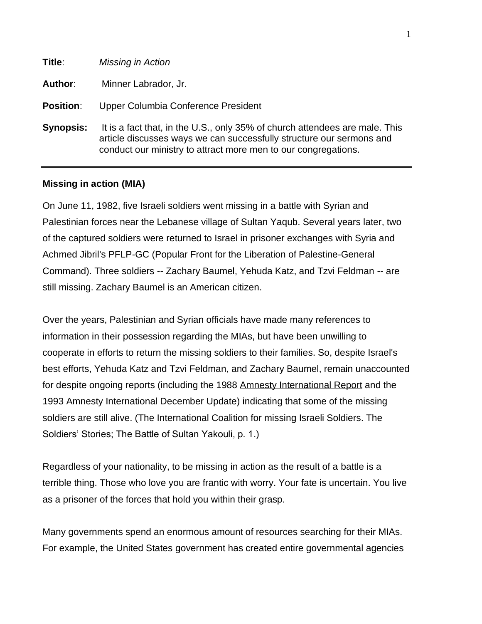| Title:           | <b>Missing in Action</b>                                                                                                                                                                                              |
|------------------|-----------------------------------------------------------------------------------------------------------------------------------------------------------------------------------------------------------------------|
| Author:          | Minner Labrador, Jr.                                                                                                                                                                                                  |
| <b>Position:</b> | Upper Columbia Conference President                                                                                                                                                                                   |
| <b>Synopsis:</b> | It is a fact that, in the U.S., only 35% of church attendees are male. This<br>article discusses ways we can successfully structure our sermons and<br>conduct our ministry to attract more men to our congregations. |

# **Missing in action (MIA)**

On June 11, 1982, five Israeli soldiers went missing in a battle with Syrian and Palestinian forces near the Lebanese village of Sultan Yaqub. Several years later, two of the captured soldiers were returned to Israel in prisoner exchanges with Syria and Achmed Jibril's PFLP-GC (Popular Front for the Liberation of Palestine-General Command). Three soldiers -- Zachary Baumel, Yehuda Katz, and Tzvi Feldman -- are still missing. Zachary Baumel is an American citizen.

Over the years, Palestinian and Syrian officials have made many references to information in their possession regarding the MIAs, but have been unwilling to cooperate in efforts to return the missing soldiers to their families. So, despite Israel's best efforts, Yehuda Katz and Tzvi Feldman, and Zachary Baumel, remain unaccounted for despite ongoing reports (including the 1988 [Amnesty International Report](http://www.mia.org.il/amnesty.html) and the 1993 Amnesty International December Update) indicating that some of the missing soldiers are still alive. (The International Coalition for missing Israeli Soldiers. The Soldiers' Stories; The Battle of Sultan Yakouli, p. 1.)

Regardless of your nationality, to be missing in action as the result of a battle is a terrible thing. Those who love you are frantic with worry. Your fate is uncertain. You live as a prisoner of the forces that hold you within their grasp.

Many governments spend an enormous amount of resources searching for their MIAs. For example, the United States government has created entire governmental agencies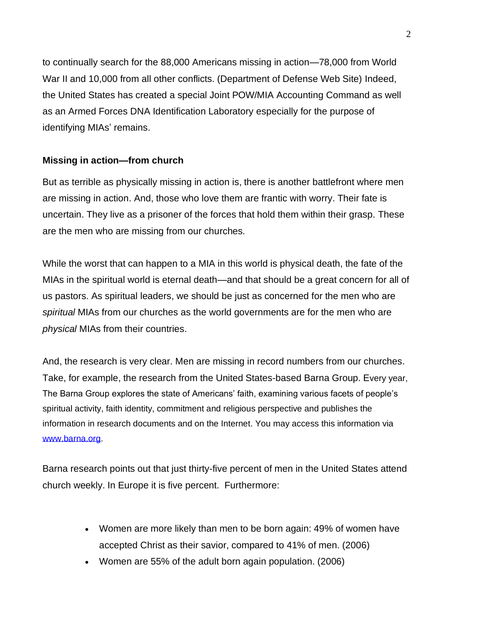to continually search for the 88,000 Americans missing in action—78,000 from World War II and 10,000 from all other conflicts. (Department of Defense Web Site) Indeed, the United States has created a special Joint POW/MIA Accounting Command as well as an Armed Forces DNA Identification Laboratory especially for the purpose of identifying MIAs' remains.

# **Missing in action—from church**

But as terrible as physically missing in action is, there is another battlefront where men are missing in action. And, those who love them are frantic with worry. Their fate is uncertain. They live as a prisoner of the forces that hold them within their grasp. These are the men who are missing from our churches.

While the worst that can happen to a MIA in this world is physical death, the fate of the MIAs in the spiritual world is eternal death—and that should be a great concern for all of us pastors. As spiritual leaders, we should be just as concerned for the men who are *spiritual* MIAs from our churches as the world governments are for the men who are *physical* MIAs from their countries.

And, the research is very clear. Men are missing in record numbers from our churches. Take, for example, the research from the United States-based Barna Group. Every year, The Barna Group explores the state of Americans' faith, examining various facets of people's spiritual activity, faith identity, commitment and religious perspective and publishes the information in research documents and on the Internet. You may access this information via [www.barna.org.](http://www.barna.org/)

Barna research points out that just thirty-five percent of men in the United States attend church weekly. In Europe it is five percent. Furthermore:

- Women are more likely than men to be born again: 49% of women have accepted Christ as their savior, compared to 41% of men. (2006)
- Women are 55% of the adult born again population. (2006)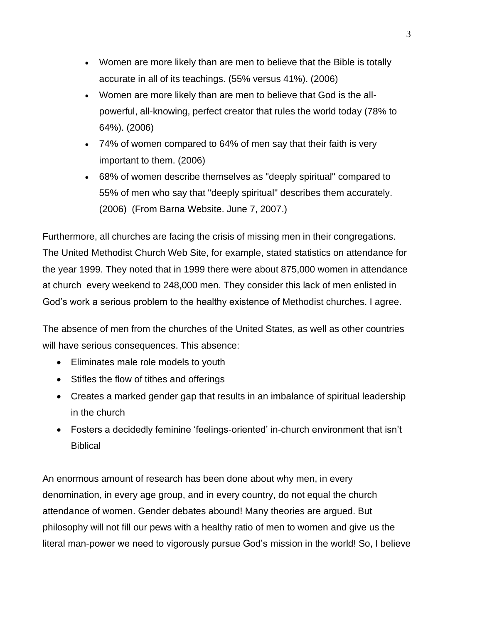- Women are more likely than are men to believe that the Bible is totally accurate in all of its teachings. (55% versus 41%). (2006)
- Women are more likely than are men to believe that God is the allpowerful, all-knowing, perfect creator that rules the world today (78% to 64%). (2006)
- 74% of women compared to 64% of men say that their faith is very important to them. (2006)
- 68% of women describe themselves as "deeply spiritual" compared to 55% of men who say that "deeply spiritual" describes them accurately. (2006) (From Barna Website. June 7, 2007.)

Furthermore, all churches are facing the crisis of missing men in their congregations. The United Methodist Church Web Site, for example, stated statistics on attendance for the year 1999. They noted that in 1999 there were about 875,000 women in attendance at church every weekend to 248,000 men. They consider this lack of men enlisted in God's work a serious problem to the healthy existence of Methodist churches. I agree.

The absence of men from the churches of the United States, as well as other countries will have serious consequences. This absence:

- Eliminates male role models to youth
- Stifles the flow of tithes and offerings
- Creates a marked gender gap that results in an imbalance of spiritual leadership in the church
- Fosters a decidedly feminine 'feelings-oriented' in-church environment that isn't Biblical

An enormous amount of research has been done about why men, in every denomination, in every age group, and in every country, do not equal the church attendance of women. Gender debates abound! Many theories are argued. But philosophy will not fill our pews with a healthy ratio of men to women and give us the literal man-power we need to vigorously pursue God's mission in the world! So, I believe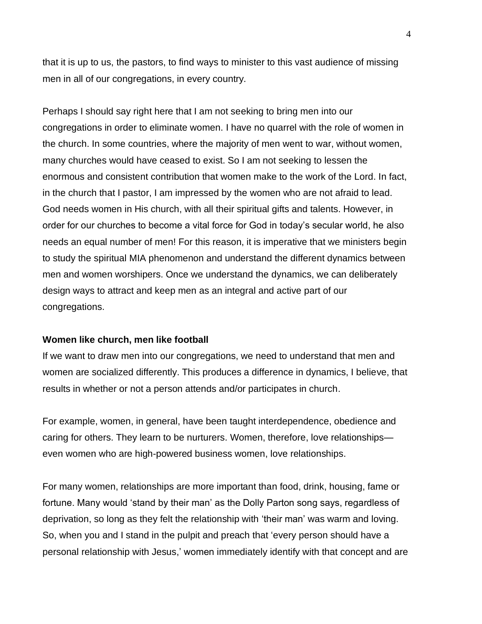that it is up to us, the pastors, to find ways to minister to this vast audience of missing men in all of our congregations, in every country.

Perhaps I should say right here that I am not seeking to bring men into our congregations in order to eliminate women. I have no quarrel with the role of women in the church. In some countries, where the majority of men went to war, without women, many churches would have ceased to exist. So I am not seeking to lessen the enormous and consistent contribution that women make to the work of the Lord. In fact, in the church that I pastor, I am impressed by the women who are not afraid to lead. God needs women in His church, with all their spiritual gifts and talents. However, in order for our churches to become a vital force for God in today's secular world, he also needs an equal number of men! For this reason, it is imperative that we ministers begin to study the spiritual MIA phenomenon and understand the different dynamics between men and women worshipers. Once we understand the dynamics, we can deliberately design ways to attract and keep men as an integral and active part of our congregations.

#### **Women like church, men like football**

If we want to draw men into our congregations, we need to understand that men and women are socialized differently. This produces a difference in dynamics, I believe, that results in whether or not a person attends and/or participates in church.

For example, women, in general, have been taught interdependence, obedience and caring for others. They learn to be nurturers. Women, therefore, love relationships even women who are high-powered business women, love relationships.

For many women, relationships are more important than food, drink, housing, fame or fortune. Many would 'stand by their man' as the Dolly Parton song says, regardless of deprivation, so long as they felt the relationship with 'their man' was warm and loving. So, when you and I stand in the pulpit and preach that 'every person should have a personal relationship with Jesus,' women immediately identify with that concept and are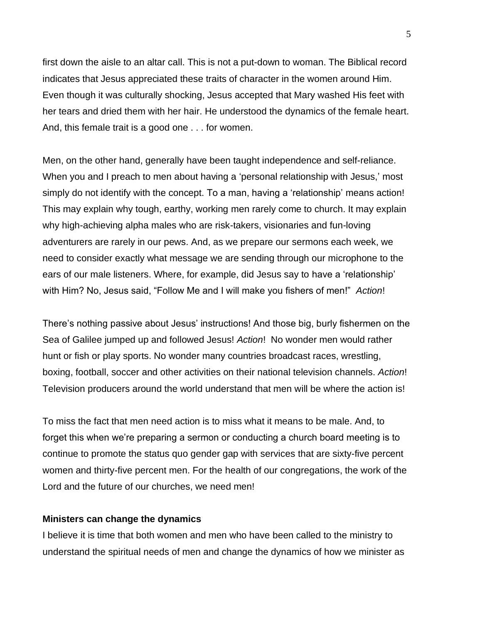first down the aisle to an altar call. This is not a put-down to woman. The Biblical record indicates that Jesus appreciated these traits of character in the women around Him. Even though it was culturally shocking, Jesus accepted that Mary washed His feet with her tears and dried them with her hair. He understood the dynamics of the female heart. And, this female trait is a good one . . . for women.

Men, on the other hand, generally have been taught independence and self-reliance. When you and I preach to men about having a 'personal relationship with Jesus,' most simply do not identify with the concept. To a man, having a 'relationship' means action! This may explain why tough, earthy, working men rarely come to church. It may explain why high-achieving alpha males who are risk-takers, visionaries and fun-loving adventurers are rarely in our pews. And, as we prepare our sermons each week, we need to consider exactly what message we are sending through our microphone to the ears of our male listeners. Where, for example, did Jesus say to have a 'relationship' with Him? No, Jesus said, "Follow Me and I will make you fishers of men!" *Action*!

There's nothing passive about Jesus' instructions! And those big, burly fishermen on the Sea of Galilee jumped up and followed Jesus! *Action*! No wonder men would rather hunt or fish or play sports. No wonder many countries broadcast races, wrestling, boxing, football, soccer and other activities on their national television channels. *Action*! Television producers around the world understand that men will be where the action is!

To miss the fact that men need action is to miss what it means to be male. And, to forget this when we're preparing a sermon or conducting a church board meeting is to continue to promote the status quo gender gap with services that are sixty-five percent women and thirty-five percent men. For the health of our congregations, the work of the Lord and the future of our churches, we need men!

## **Ministers can change the dynamics**

I believe it is time that both women and men who have been called to the ministry to understand the spiritual needs of men and change the dynamics of how we minister as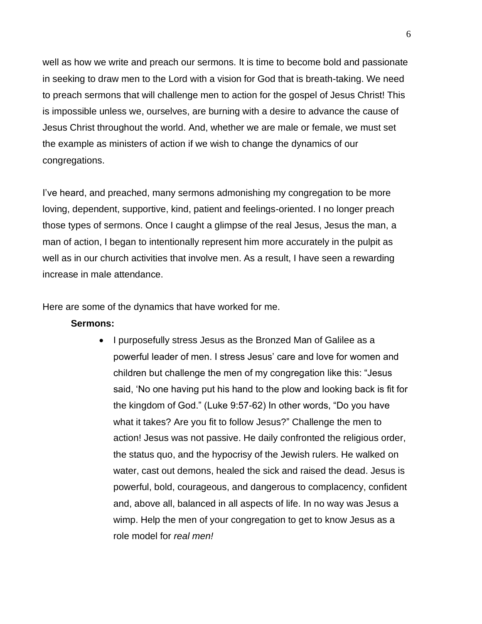well as how we write and preach our sermons. It is time to become bold and passionate in seeking to draw men to the Lord with a vision for God that is breath-taking. We need to preach sermons that will challenge men to action for the gospel of Jesus Christ! This is impossible unless we, ourselves, are burning with a desire to advance the cause of Jesus Christ throughout the world. And, whether we are male or female, we must set the example as ministers of action if we wish to change the dynamics of our congregations.

I've heard, and preached, many sermons admonishing my congregation to be more loving, dependent, supportive, kind, patient and feelings-oriented. I no longer preach those types of sermons. Once I caught a glimpse of the real Jesus, Jesus the man, a man of action, I began to intentionally represent him more accurately in the pulpit as well as in our church activities that involve men. As a result, I have seen a rewarding increase in male attendance.

Here are some of the dynamics that have worked for me.

#### **Sermons:**

• I purposefully stress Jesus as the Bronzed Man of Galilee as a powerful leader of men. I stress Jesus' care and love for women and children but challenge the men of my congregation like this: "Jesus said, 'No one having put his hand to the plow and looking back is fit for the kingdom of God." (Luke 9:57-62) In other words, "Do you have what it takes? Are you fit to follow Jesus?" Challenge the men to action! Jesus was not passive. He daily confronted the religious order, the status quo, and the hypocrisy of the Jewish rulers. He walked on water, cast out demons, healed the sick and raised the dead. Jesus is powerful, bold, courageous, and dangerous to complacency, confident and, above all, balanced in all aspects of life. In no way was Jesus a wimp. Help the men of your congregation to get to know Jesus as a role model for *real men!*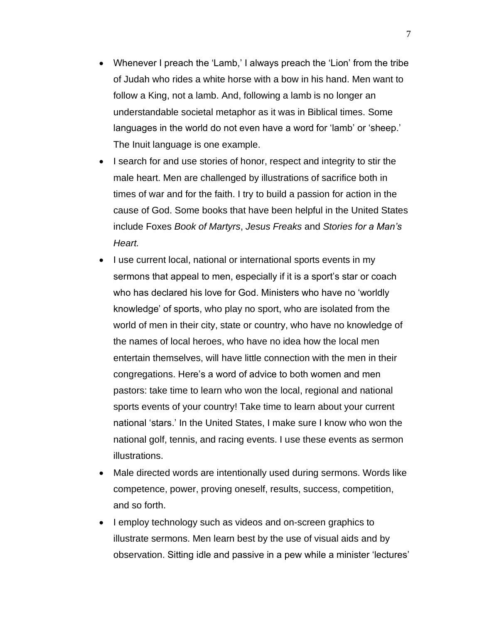- Whenever I preach the 'Lamb,' I always preach the 'Lion' from the tribe of Judah who rides a white horse with a bow in his hand. Men want to follow a King, not a lamb. And, following a lamb is no longer an understandable societal metaphor as it was in Biblical times. Some languages in the world do not even have a word for 'lamb' or 'sheep.' The Inuit language is one example.
- I search for and use stories of honor, respect and integrity to stir the male heart. Men are challenged by illustrations of sacrifice both in times of war and for the faith. I try to build a passion for action in the cause of God. Some books that have been helpful in the United States include Foxes *Book of Martyrs*, *Jesus Freaks* and *Stories for a Man's Heart.*
- I use current local, national or international sports events in my sermons that appeal to men, especially if it is a sport's star or coach who has declared his love for God. Ministers who have no 'worldly knowledge' of sports, who play no sport, who are isolated from the world of men in their city, state or country, who have no knowledge of the names of local heroes, who have no idea how the local men entertain themselves, will have little connection with the men in their congregations. Here's a word of advice to both women and men pastors: take time to learn who won the local, regional and national sports events of your country! Take time to learn about your current national 'stars.' In the United States, I make sure I know who won the national golf, tennis, and racing events. I use these events as sermon illustrations.
- Male directed words are intentionally used during sermons. Words like competence, power, proving oneself, results, success, competition, and so forth.
- I employ technology such as videos and on-screen graphics to illustrate sermons. Men learn best by the use of visual aids and by observation. Sitting idle and passive in a pew while a minister 'lectures'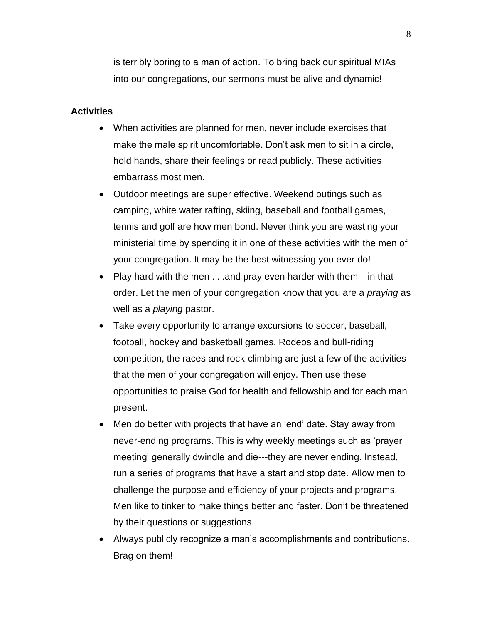is terribly boring to a man of action. To bring back our spiritual MIAs into our congregations, our sermons must be alive and dynamic!

## **Activities**

- When activities are planned for men, never include exercises that make the male spirit uncomfortable. Don't ask men to sit in a circle, hold hands, share their feelings or read publicly. These activities embarrass most men.
- Outdoor meetings are super effective. Weekend outings such as camping, white water rafting, skiing, baseball and football games, tennis and golf are how men bond. Never think you are wasting your ministerial time by spending it in one of these activities with the men of your congregation. It may be the best witnessing you ever do!
- Play hard with the men . . .and pray even harder with them---in that order. Let the men of your congregation know that you are a *praying* as well as a *playing* pastor.
- Take every opportunity to arrange excursions to soccer, baseball, football, hockey and basketball games. Rodeos and bull-riding competition, the races and rock-climbing are just a few of the activities that the men of your congregation will enjoy. Then use these opportunities to praise God for health and fellowship and for each man present.
- Men do better with projects that have an 'end' date. Stay away from never-ending programs. This is why weekly meetings such as 'prayer meeting' generally dwindle and die---they are never ending. Instead, run a series of programs that have a start and stop date. Allow men to challenge the purpose and efficiency of your projects and programs. Men like to tinker to make things better and faster. Don't be threatened by their questions or suggestions.
- Always publicly recognize a man's accomplishments and contributions. Brag on them!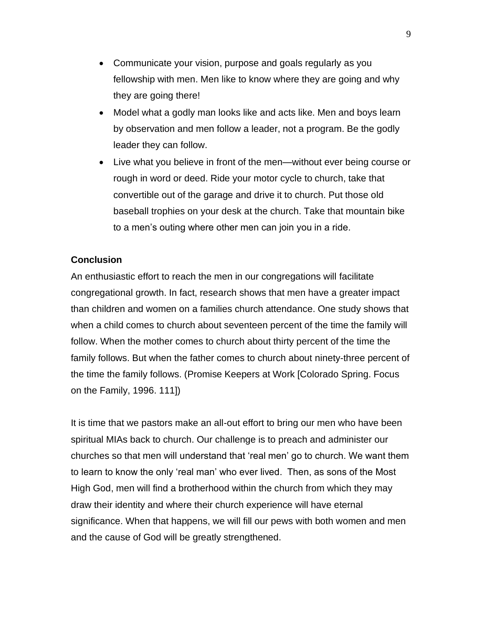- Communicate your vision, purpose and goals regularly as you fellowship with men. Men like to know where they are going and why they are going there!
- Model what a godly man looks like and acts like. Men and boys learn by observation and men follow a leader, not a program. Be the godly leader they can follow.
- Live what you believe in front of the men—without ever being course or rough in word or deed. Ride your motor cycle to church, take that convertible out of the garage and drive it to church. Put those old baseball trophies on your desk at the church. Take that mountain bike to a men's outing where other men can join you in a ride.

## **Conclusion**

An enthusiastic effort to reach the men in our congregations will facilitate congregational growth. In fact, research shows that men have a greater impact than children and women on a families church attendance. One study shows that when a child comes to church about seventeen percent of the time the family will follow. When the mother comes to church about thirty percent of the time the family follows. But when the father comes to church about ninety-three percent of the time the family follows. (Promise Keepers at Work [Colorado Spring. Focus on the Family, 1996. 111])

It is time that we pastors make an all-out effort to bring our men who have been spiritual MIAs back to church. Our challenge is to preach and administer our churches so that men will understand that 'real men' go to church. We want them to learn to know the only 'real man' who ever lived. Then, as sons of the Most High God, men will find a brotherhood within the church from which they may draw their identity and where their church experience will have eternal significance. When that happens, we will fill our pews with both women and men and the cause of God will be greatly strengthened.